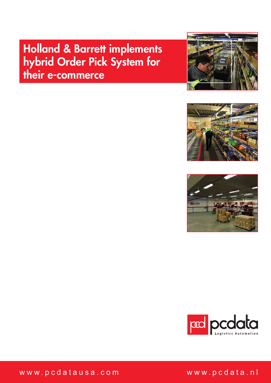# Holland & Barrett implements hybrid Order Pick System for their e-commerce









www.pcdatausa.com

www.pcdata.nl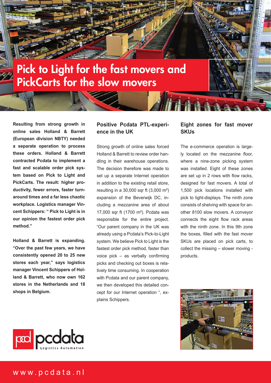

**Resulting from strong growth in online sales Holland & Barrett (European division NBTY) needed a separate operation to process these orders. Holland & Barrett contracted Pcdata to implement a fast and scalable order pick system based on Pick to Light and PickCarts. The result: higher productivity, fewer errors, faster turnaround times and a far less chaotic workplace. Logistics manager Vincent Schippers: " Pick to Light is in our opinion the fastest order pick method."** 

**Holland & Barrett is expanding. "Over the past few years, we have consistently opened 20 to 25 new stores each year," says logistics manager Vincent Schippers of Holland & Barrett, who now own 162 stores in the Netherlands and 18 shops in Belgium.** 

# **Positive Pcdata PTL-experience in the UK**

Strong growth of online sales forced Holland & Barrett to review order handling in their warehouse operations. The decision therefore was made to set up a separate Internet operation in addition to the existing retail store, resulting in a 30,000 sqr ft (3,000 m²) expansion of the Beverwijk DC, including a mezzanine area of about 17,000 sqr ft (1700 m²). Pcdata was responsible for the entire project. "Our parent company in the UK was already using a Pcdata's Pick-to-Light system. We believe Pick to Light is the fastest order pick method, faster than voice pick – as verbally confirming picks and checking out boxes is relatively time consuming. In cooperation with Pcdata and our parent company, we then developed this detailed concept for our Internet operation ", explains Schippers.

### **Eight zones for fast mover SKUs**

The e-commerce operation is largely located on the mezzanine floor, where a nine-zone picking system was installed. Eight of these zones are set up in 2 rows with flow racks, designed for fast movers. A total of 1,500 pick locations installed with pick to light-displays. The ninth zone consists of shelving with space for another 8100 slow movers. A conveyor connects the eight flow rack areas with the ninth zone. In this 9th zone the boxes, filled with the fast mover SKUs are placed on pick carts, to collect the missing – slower moving products.



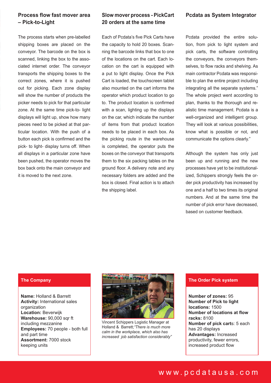# **Process flow fast mover area – Pick-to-Light**

The process starts when pre-labelled shipping boxes are placed on the conveyor. The barcode on the box is scanned, linking the box to the associated internet order. The conveyor transports the shipping boxes to the correct zones, where it is pushed out for picking. Each zone display will show the number of products the picker needs to pick for that particular zone. At the same time pick-to- light displays will light up, show how many pieces need to be picked at that particular location. With the push of a button each pick is confirmed and the pick- to light- display turns off. When all displays in a particular zone have been pushed, the operator moves the box back onto the main conveyor and it is moved to the next zone.

### **Slow mover process - PickCart 20 orders at the same time**

Each of Pcdata's five Pick Carts have the capacity to hold 20 boxes. Scanning the barcode links that box to one of the locations on the cart. Each location on the cart is equipped with a put to light display. Once the Pick Cart is loaded, the touchscreen tablet also mounted on the cart informs the operator which product location to go to. The product location is confirmed with a scan, lighting up the displays on the car, which indicate the number of items from that product location needs to be placed in each box. As the picking route in the warehouse is completed, the operator puts the boxes on the conveyor that transports them to the six packing tables on the ground floor. A delivery note and any necessary folders are added and the box is closed. Final action is to attach the shipping label.

#### **Pcdata as System Integrator**

Pcdata provided the entire solution, from pick to light system and pick carts, the software controlling the conveyors, the conveyors themselves, to flow racks and shelving. As main contractor Pcdata was responsible to plan the entire project including integrating all the separate systems." The whole project went according to plan, thanks to the thorough and realistic time management. Pcdata is a well-organized and intelligent group. They will look at various possibilities, know what is possible or not, and communicate the options clearly."

Although the system has only just been up and running and the new processes have yet to be institutionalized, Schippers strongly feels the order pick productivity has increased by one and a half to two times its original numbers. And at the same time the number of pick error have decreased, based on customer feedback.

#### **The Company**

**Name:** Holland & Barrett **Activity:** International sales organization **Location:** Beverwijk **Warehouse:** 90,000 sqr ft including mezzanine **Employees:** 70 people - both full and part time **Assortment:** 7000 stock keeping units



Vincent Schippers Logistic Manager at Holland & Barrett;*"There is much more calm in the workplace, which also has increased job satisfaction considerably"*

#### **The Order Pick system**

**Number of zones:** 95 **Number of Pick to light locations:** 1500 **Number of locations at flow racks:** 8100 **Number of pick cart**s: 5 each has 20 displays **Advantages:** Increased productivity, fewer errors, increased product flow

# www.pcdatausa.com